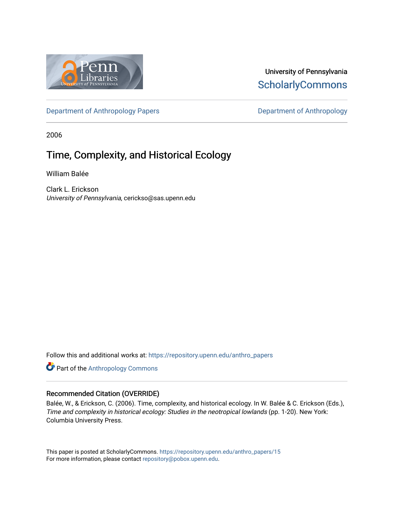

# University of Pennsylvania **ScholarlyCommons**

[Department of Anthropology Papers](https://repository.upenn.edu/anthro_papers) **Department of Anthropology** 

2006

# Time, Complexity, and Historical Ecology

William Balée

Clark L. Erickson University of Pennsylvania, cerickso@sas.upenn.edu

Follow this and additional works at: [https://repository.upenn.edu/anthro\\_papers](https://repository.upenn.edu/anthro_papers?utm_source=repository.upenn.edu%2Fanthro_papers%2F15&utm_medium=PDF&utm_campaign=PDFCoverPages)

Part of the [Anthropology Commons](http://network.bepress.com/hgg/discipline/318?utm_source=repository.upenn.edu%2Fanthro_papers%2F15&utm_medium=PDF&utm_campaign=PDFCoverPages)

### Recommended Citation (OVERRIDE)

Balée, W., & Erickson, C. (2006). Time, complexity, and historical ecology. In W. Balée & C. Erickson (Eds.), Time and complexity in historical ecology: Studies in the neotropical lowlands (pp. 1-20). New York: Columbia University Press.

This paper is posted at ScholarlyCommons. [https://repository.upenn.edu/anthro\\_papers/15](https://repository.upenn.edu/anthro_papers/15) For more information, please contact [repository@pobox.upenn.edu.](mailto:repository@pobox.upenn.edu)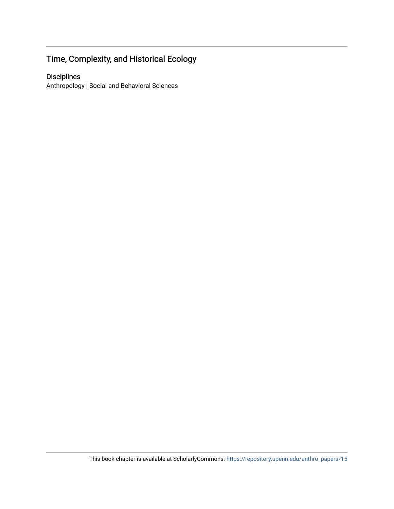# Time, Complexity, and Historical Ecology

## Disciplines

Anthropology | Social and Behavioral Sciences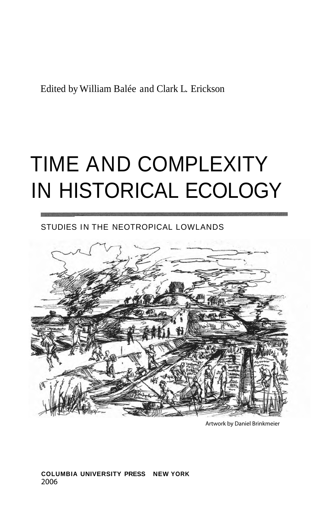Edited by William Balée and Clark L. Erickson

# TIME AND COMPLEXITY IN HISTORICAL ECOLOGY

STUDIES IN THE NEOTROPICAL LOWLANDS



Artwork by Daniel Brinkmeier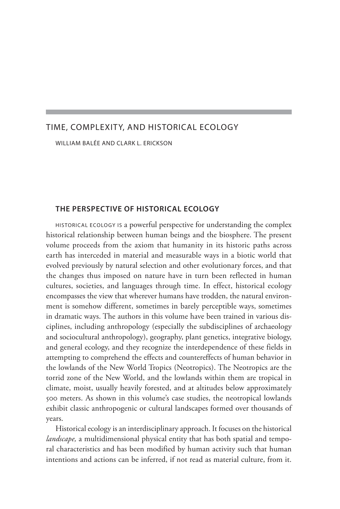#### TIME, COMPLEXITY, AND HISTORICAL ECOLOGY

WILLIAM BALÉE AND CLARK L. ERICKSON

#### **THE PERSPECTIVE OF HISTORICAL ECOLOGY**

 HISTORICAL ECOLOGY IS a powerful perspective for understanding the complex historical relationship between human beings and the biosphere. The present volume proceeds from the axiom that humanity in its historic paths across earth has interceded in material and measurable ways in a biotic world that evolved previously by natural selection and other evolutionary forces, and that the changes thus imposed on nature have in turn been reflected in human cultures, societies, and languages through time. In effect, historical ecology encompasses the view that wherever humans have trodden, the natural environment is somehow different, sometimes in barely perceptible ways, sometimes in dramatic ways. The authors in this volume have been trained in various disciplines, including anthropology (especially the subdisciplines of archaeology and sociocultural anthropology), geography, plant genetics, integrative biology, and general ecology, and they recognize the interdependence of these fields in attempting to comprehend the effects and countereffects of human behavior in the lowlands of the New World Tropics (Neotropics). The Neotropics are the torrid zone of the New World, and the lowlands within them are tropical in climate, moist, usually heavily forested, and at altitudes below approximately 500 meters. As shown in this volume's case studies, the neotropical lowlands exhibit classic anthropogenic or cultural landscapes formed over thousands of years.

 Historical ecology is an interdisciplinary approach. It focuses on the historical *landscape*, a multidimensional physical entity that has both spatial and temporal characteristics and has been modified by human activity such that human intentions and actions can be inferred, if not read as material culture, from it.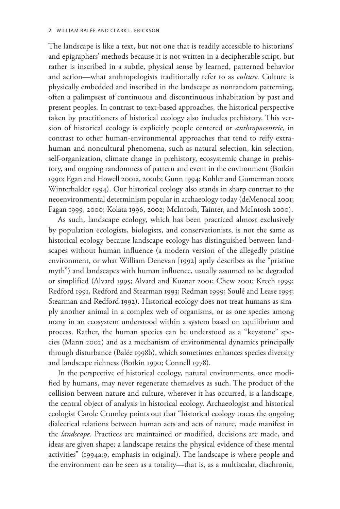The landscape is like a text, but not one that is readily accessible to historians' and epigraphers' methods because it is not written in a decipherable script, but rather is inscribed in a subtle, physical sense by learned, patterned behavior and action—what anthropologists traditionally refer to as *culture.* Culture is physically embedded and inscribed in the landscape as nonrandom patterning, often a palimpsest of continuous and discontinuous inhabitation by past and present peoples. In contrast to text-based approaches, the historical perspective taken by practitioners of historical ecology also includes prehistory. This version of historical ecology is explicitly people centered or *anthropocentric,* in contrast to other human-environmental approaches that tend to reify extrahuman and noncultural phenomena, such as natural selection, kin selection, self-organization, climate change in prehistory, ecosystemic change in prehistory, and ongoing randomness of pattern and event in the environment (Botkin 1990; Egan and Howell 2001a, 2001b; Gunn 1994; Kohler and Gumerman 2000; Winterhalder 1994). Our historical ecology also stands in sharp contrast to the neoenvironmental determinism popular in archaeology today (deMenocal 2001; Fagan 1999, 2000; Kolata 1996, 2002; McIntosh, Tainter, and McIntosh 2000).

 As such, landscape ecology, which has been practiced almost exclusively by population ecologists, biologists, and conservationists, is not the same as historical ecology because landscape ecology has distinguished between landscapes without human influence (a modern version of the allegedly pristine environment, or what William Denevan [1992] aptly describes as the "pristine myth") and landscapes with human influence, usually assumed to be degraded or simplified (Alvard 1995; Alvard and Kuznar 2001; Chew 2001; Krech 1999; Redford 1991, Redford and Stearman 1993; Redman 1999; Soulé and Lease 1995; Stearman and Redford 1992). Historical ecology does not treat humans as simply another animal in a complex web of organisms, or as one species among many in an ecosystem understood within a system based on equilibrium and process. Rather, the human species can be understood as a "keystone" species (Mann 2002) and as a mechanism of environmental dynamics principally through disturbance (Balée 1998b), which sometimes enhances species diversity and landscape richness (Botkin 1990; Connell 1978).

 In the perspective of historical ecology, natural environments, once modified by humans, may never regenerate themselves as such. The product of the collision between nature and culture, wherever it has occurred, is a landscape, the central object of analysis in historical ecology. Archaeologist and historical ecologist Carole Crumley points out that "historical ecology traces the ongoing dialectical relations between human acts and acts of nature, made manifest in the *landscape.* Practices are maintained or modified, decisions are made, and ideas are given shape; a landscape retains the physical evidence of these mental activities" (1994a:9, emphasis in original). The landscape is where people and the environment can be seen as a totality—that is, as a multiscalar, diachronic,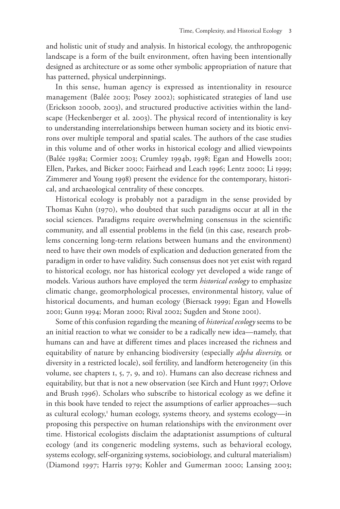and holistic unit of study and analysis. In historical ecology, the anthropogenic landscape is a form of the built environment, often having been intentionally designed as architecture or as some other symbolic appropriation of nature that has patterned, physical underpinnings.

 In this sense, human agency is expressed as intentionality in resource management (Balée 2003; Posey 2002); sophisticated strategies of land use (Erickson 2000b, 2003), and structured productive activities within the landscape (Heckenberger et al. 2003). The physical record of intentionality is key to understanding interrelationships between human society and its biotic environs over multiple temporal and spatial scales. The authors of the case studies in this volume and of other works in historical ecology and allied viewpoints (Balée 1998a; Cormier 2003; Crumley 1994b, 1998; Egan and Howells 2001; Ellen, Parkes, and Bicker 2000; Fairhead and Leach 1996; Lentz 2000; Li 1999; Zimmerer and Young 1998) present the evidence for the contemporary, historical, and archaeological centrality of these concepts.

 Historical ecology is probably not a paradigm in the sense provided by Thomas Kuhn (1970), who doubted that such paradigms occur at all in the social sciences. Paradigms require overwhelming consensus in the scientific community, and all essential problems in the field (in this case, research problems concerning long-term relations between humans and the environment) need to have their own models of explication and deduction generated from the paradigm in order to have validity. Such consensus does not yet exist with regard to historical ecology, nor has historical ecology yet developed a wide range of models. Various authors have employed the term *historical ecology* to emphasize climatic change, geomorphological processes, environmental history, value of historical documents, and human ecology (Biersack 1999; Egan and Howells 2001; Gunn 1994; Moran 2000; Rival 2002; Sugden and Stone 2001).

 Some of this confusion regarding the meaning of *historical ecology* seems to be an initial reaction to what we consider to be a radically new idea—namely, that humans can and have at different times and places increased the richness and equitability of nature by enhancing biodiversity (especially *alpha diversity,* or diversity in a restricted locale), soil fertility, and landform heterogeneity (in this volume, see chapters 1, 5, 7, 9, and 10). Humans can also decrease richness and equitability, but that is not a new observation (see Kirch and Hunt 1997; Orlove and Brush 1996). Scholars who subscribe to historical ecology as we define it in this book have tended to reject the assumptions of earlier approaches—such as cultural ecology,<sup>1</sup> human ecology, systems theory, and systems ecology—in proposing this perspective on human relationships with the environment over time. Historical ecologists disclaim the adaptationist assumptions of cultural ecology (and its congeneric modeling systems, such as behavioral ecology, systems ecology, self-organizing systems, sociobiology, and cultural materialism) (Diamond 1997; Harris 1979; Kohler and Gumerman 2000; Lansing 2003;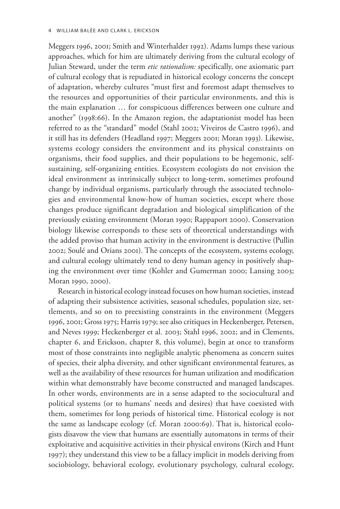Meggers 1996, 2001; Smith and Winterhalder 1992). Adams lumps these various approaches, which for him are ultimately deriving from the cultural ecology of Julian Steward, under the term *etic rationalism:* specifically, one axiomatic part of cultural ecology that is repudiated in historical ecology concerns the concept of adaptation, whereby cultures "must first and foremost adapt themselves to the resources and opportunities of their particular environments, and this is the main explanation … for conspicuous differences between one culture and another" (1998:66). In the Amazon region, the adaptationist model has been referred to as the "standard" model (Stahl 2002; Viveiros de Castro 1996), and it still has its defenders (Headland 1997; Meggers 2001; Moran 1993). Likewise, systems ecology considers the environment and its physical constraints on organisms, their food supplies, and their populations to be hegemonic, selfsustaining, self-organizing entities. Ecosystem ecologists do not envision the ideal environment as intrinsically subject to long-term, sometimes profound change by individual organisms, particularly through the associated technologies and environmental know-how of human societies, except where those changes produce significant degradation and biological simplification of the previously existing environment (Moran 1990; Rappaport 2000). Conservation biology likewise corresponds to these sets of theoretical understandings with the added proviso that human activity in the environment is destructive (Pullin 2002; Soulé and Orians 2001). The concepts of the ecosystem, systems ecology, and cultural ecology ultimately tend to deny human agency in positively shaping the environment over time (Kohler and Gumerman 2000; Lansing 2003; Moran 1990, 2000).

 Research in historical ecology instead focuses on how human societies, instead of adapting their subsistence activities, seasonal schedules, population size, settlements, and so on to preexisting constraints in the environment (Meggers 1996, 2001; Gross 1975; Harris 1979; see also critiques in Heckenberger, Petersen, and Neves 1999; Heckenberger et al. 2003; Stahl 1996, 2002; and in Clements, chapter 6, and Erickson, chapter 8, this volume), begin at once to transform most of those constraints into negligible analytic phenomena as concern suites of species, their alpha diversity, and other significant environmental features, as well as the availability of these resources for human utilization and modification within what demonstrably have become constructed and managed landscapes. In other words, environments are in a sense adapted to the sociocultural and political systems (or to humans' needs and desires) that have coexisted with them, sometimes for long periods of historical time. Historical ecology is not the same as landscape ecology (cf. Moran 2000:69). That is, historical ecologists disavow the view that humans are essentially automatons in terms of their exploitative and acquisitive activities in their physical environs (Kirch and Hunt 1997); they understand this view to be a fallacy implicit in models deriving from sociobiology, behavioral ecology, evolutionary psychology, cultural ecology,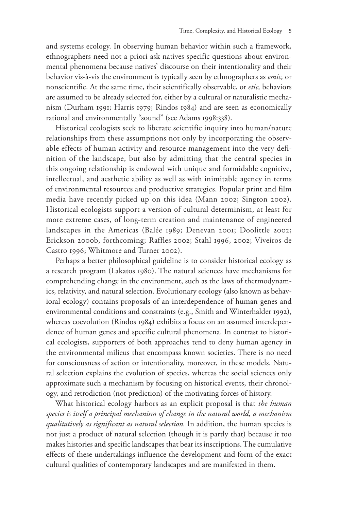and systems ecology. In observing human behavior within such a framework, ethnographers need not a priori ask natives specific questions about environmental phenomena because natives' discourse on their intentionality and their behavior vis-à-vis the environment is typically seen by ethnographers as *emic,* or nonscientific. At the same time, their scientifically observable, or *etic,* behaviors are assumed to be already selected for, either by a cultural or naturalistic mechanism (Durham 1991; Harris 1979; Rindos 1984) and are seen as economically rational and environmentally "sound" (see Adams 1998:338).

 Historical ecologists seek to liberate scientific inquiry into human/nature relationships from these assumptions not only by incorporating the observable effects of human activity and resource management into the very definition of the landscape, but also by admitting that the central species in this ongoing relationship is endowed with unique and formidable cognitive, intellectual, and aesthetic ability as well as with inimitable agency in terms of environmental resources and productive strategies. Popular print and film media have recently picked up on this idea (Mann 2002; Sington 2002). Historical ecologists support a version of cultural determinism, at least for more extreme cases, of long-term creation and maintenance of engineered landscapes in the Americas (Balée 1989; Denevan 2001; Doolittle 2002; Erickson 2000b, forthcoming; Raffles 2002; Stahl 1996, 2002; Viveiros de Castro 1996; Whitmore and Turner 2002).

 Perhaps a better philosophical guideline is to consider historical ecology as a research program (Lakatos 1980). The natural sciences have mechanisms for comprehending change in the environment, such as the laws of thermodynamics, relativity, and natural selection. Evolutionary ecology (also known as behavioral ecology) contains proposals of an interdependence of human genes and environmental conditions and constraints (e.g., Smith and Winterhalder 1992), whereas coevolution (Rindos 1984) exhibits a focus on an assumed interdependence of human genes and specific cultural phenomena. In contrast to historical ecologists, supporters of both approaches tend to deny human agency in the environmental milieus that encompass known societies. There is no need for consciousness of action or intentionality, moreover, in these models. Natural selection explains the evolution of species, whereas the social sciences only approximate such a mechanism by focusing on historical events, their chronology, and retrodiction (not prediction) of the motivating forces of history.

 What historical ecology harbors as an explicit proposal is that *the human species is itself a principal mechanism of change in the natural world, a mechanism qualitatively as significant as natural selection.* In addition, the human species is not just a product of natural selection (though it is partly that) because it too makes histories and specific landscapes that bear its inscriptions. The cumulative effects of these undertakings influence the development and form of the exact cultural qualities of contemporary landscapes and are manifested in them.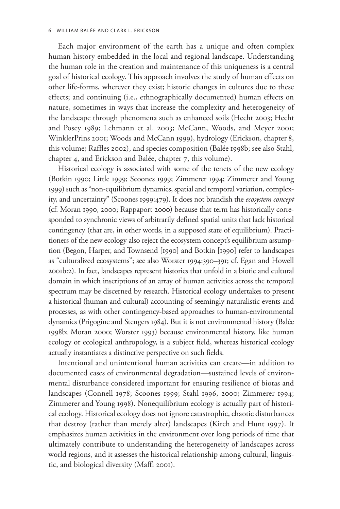Each major environment of the earth has a unique and often complex human history embedded in the local and regional landscape. Understanding the human role in the creation and maintenance of this uniqueness is a central goal of historical ecology. This approach involves the study of human effects on other life-forms, wherever they exist; historic changes in cultures due to these effects; and continuing (i.e., ethnographically documented) human effects on nature, sometimes in ways that increase the complexity and heterogeneity of the landscape through phenomena such as enhanced soils (Hecht 2003; Hecht and Posey 1989; Lehmann et al. 2003; McCann, Woods, and Meyer 2001; WinklerPrins 2001; Woods and McCann 1999), hydrology (Erickson, chapter 8, this volume; Raffles 2002), and species composition (Balée 1998b; see also Stahl, chapter 4, and Erickson and Balée, chapter 7, this volume).

 Historical ecology is associated with some of the tenets of the new ecology (Botkin 1990; Little 1999; Scoones 1999; Zimmerer 1994; Zimmerer and Young 1999) such as "non-equilibrium dynamics, spatial and temporal variation, complexity, and uncertainty" (Scoones 1999:479). It does not brandish the *ecosystem concept*  (cf. Moran 1990, 2000; Rappaport 2000) because that term has historically corresponded to synchronic views of arbitrarily defined spatial units that lack historical contingency (that are, in other words, in a supposed state of equilibrium). Practitioners of the new ecology also reject the ecosystem concept's equilibrium assumption (Begon, Harper, and Townsend [1990] and Botkin [1990] refer to landscapes as "culturalized ecosystems"; see also Worster 1994:390–391; cf. Egan and Howell 2001b:2). In fact, landscapes represent histories that unfold in a biotic and cultural domain in which inscriptions of an array of human activities across the temporal spectrum may be discerned by research. Historical ecology undertakes to present a historical (human and cultural) accounting of seemingly naturalistic events and processes, as with other contingency-based approaches to human-environmental dynamics (Prigogine and Stengers 1984). But it is not environmental history (Balée 1998b; Moran 2000; Worster 1993) because environmental history, like human ecology or ecological anthropology, is a subject field, whereas historical ecology actually instantiates a distinctive perspective on such fields.

 Intentional and unintentional human activities can create—in addition to documented cases of environmental degradation—sustained levels of environmental disturbance considered important for ensuring resilience of biotas and landscapes (Connell 1978; Scoones 1999; Stahl 1996, 2000; Zimmerer 1994; Zimmerer and Young 1998). Nonequilibrium ecology is actually part of historical ecology. Historical ecology does not ignore catastrophic, chaotic disturbances that destroy (rather than merely alter) landscapes (Kirch and Hunt 1997). It emphasizes human activities in the environment over long periods of time that ultimately contribute to understanding the heterogeneity of landscapes across world regions, and it assesses the historical relationship among cultural, linguistic, and biological diversity (Maffi 2001).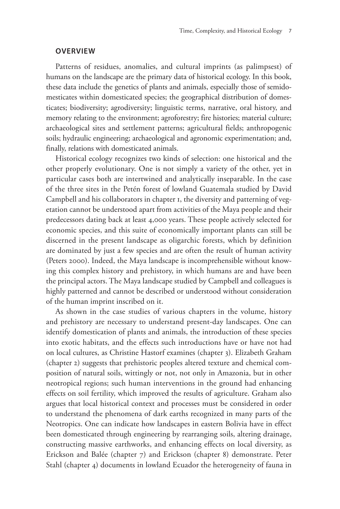#### **OVERVIEW**

 Patterns of residues, anomalies, and cultural imprints (as palimpsest) of humans on the landscape are the primary data of historical ecology. In this book, these data include the genetics of plants and animals, especially those of semidomesticates within domesticated species; the geographical distribution of domesticates; biodiversity; agrodiversity; linguistic terms, narrative, oral history, and memory relating to the environment; agroforestry; fire histories; material culture; archaeological sites and settlement patterns; agricultural fields; anthropogenic soils; hydraulic engineering; archaeological and agronomic experimentation; and, finally, relations with domesticated animals.

 Historical ecology recognizes two kinds of selection: one historical and the other properly evolutionary. One is not simply a variety of the other, yet in particular cases both are intertwined and analytically inseparable. In the case of the three sites in the Petén forest of lowland Guatemala studied by David Campbell and his collaborators in chapter 1, the diversity and patterning of vegetation cannot be understood apart from activities of the Maya people and their predecessors dating back at least 4,000 years. These people actively selected for economic species, and this suite of economically important plants can still be discerned in the present landscape as oligarchic forests, which by definition are dominated by just a few species and are often the result of human activity (Peters 2000). Indeed, the Maya landscape is incomprehensible without knowing this complex history and prehistory, in which humans are and have been the principal actors. The Maya landscape studied by Campbell and colleagues is highly patterned and cannot be described or understood without consideration of the human imprint inscribed on it.

 As shown in the case studies of various chapters in the volume, history and prehistory are necessary to understand present-day landscapes. One can identify domestication of plants and animals, the introduction of these species into exotic habitats, and the effects such introductions have or have not had on local cultures, as Christine Hastorf examines (chapter 3). Elizabeth Graham (chapter 2) suggests that prehistoric peoples altered texture and chemical composition of natural soils, wittingly or not, not only in Amazonia, but in other neotropical regions; such human interventions in the ground had enhancing effects on soil fertility, which improved the results of agriculture. Graham also argues that local historical context and processes must be considered in order to understand the phenomena of dark earths recognized in many parts of the Neotropics. One can indicate how landscapes in eastern Bolivia have in effect been domesticated through engineering by rearranging soils, altering drainage, constructing massive earthworks, and enhancing effects on local diversity, as Erickson and Balée (chapter 7) and Erickson (chapter 8) demonstrate. Peter Stahl (chapter 4) documents in lowland Ecuador the heterogeneity of fauna in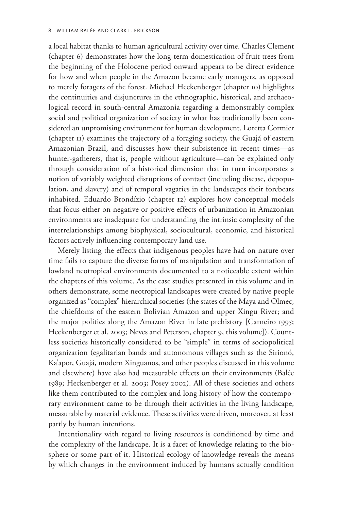a local habitat thanks to human agricultural activity over time. Charles Clement (chapter 6) demonstrates how the long-term domestication of fruit trees from the beginning of the Holocene period onward appears to be direct evidence for how and when people in the Amazon became early managers, as opposed to merely foragers of the forest. Michael Heckenberger (chapter 10) highlights the continuities and disjunctures in the ethnographic, historical, and archaeological record in south-central Amazonia regarding a demonstrably complex social and political organization of society in what has traditionally been considered an unpromising environment for human development. Loretta Cormier (chapter 11) examines the trajectory of a foraging society, the Guajá of eastern Amazonian Brazil, and discusses how their subsistence in recent times—as hunter-gatherers, that is, people without agriculture—can be explained only through consideration of a historical dimension that in turn incorporates a notion of variably weighted disruptions of contact (including disease, depopulation, and slavery) and of temporal vagaries in the landscapes their forebears inhabited. Eduardo Brondízio (chapter 12) explores how conceptual models that focus either on negative or positive effects of urbanization in Amazonian environments are inadequate for understanding the intrinsic complexity of the interrelationships among biophysical, sociocultural, economic, and historical factors actively influencing contemporary land use.

 Merely listing the effects that indigenous peoples have had on nature over time fails to capture the diverse forms of manipulation and transformation of lowland neotropical environments documented to a noticeable extent within the chapters of this volume. As the case studies presented in this volume and in others demonstrate, some neotropical landscapes were created by native people organized as "complex" hierarchical societies (the states of the Maya and Olmec; the chiefdoms of the eastern Bolivian Amazon and upper Xingu River; and the major polities along the Amazon River in late prehistory [Carneiro 1995; Heckenberger et al. 2003; Neves and Peterson, chapter 9, this volume]). Countless societies historically considered to be "simple" in terms of sociopolitical organization (egalitarian bands and autonomous villages such as the Sirionó, Ka'apor, Guajá, modern Xinguanos, and other peoples discussed in this volume and elsewhere) have also had measurable effects on their environments (Balée 1989; Heckenberger et al. 2003; Posey 2002). All of these societies and others like them contributed to the complex and long history of how the contemporary environment came to be through their activities in the living landscape, measurable by material evidence. These activities were driven, moreover, at least partly by human intentions.

 Intentionality with regard to living resources is conditioned by time and the complexity of the landscape. It is a facet of knowledge relating to the biosphere or some part of it. Historical ecology of knowledge reveals the means by which changes in the environment induced by humans actually condition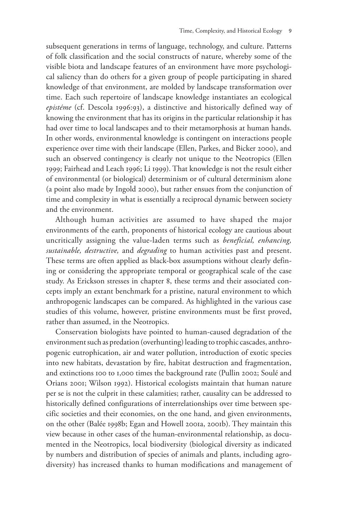subsequent generations in terms of language, technology, and culture. Patterns of folk classification and the social constructs of nature, whereby some of the visible biota and landscape features of an environment have more psychological saliency than do others for a given group of people participating in shared knowledge of that environment, are molded by landscape transformation over time. Each such repertoire of landscape knowledge instantiates an ecological  *epistéme* (cf. Descola 1996:93), a distinctive and historically defined way of knowing the environment that has its origins in the particular relationship it has had over time to local landscapes and to their metamorphosis at human hands. In other words, environmental knowledge is contingent on interactions people experience over time with their landscape (Ellen, Parkes, and Bicker 2000), and such an observed contingency is clearly not unique to the Neotropics (Ellen 1999; Fairhead and Leach 1996; Li 1999). That knowledge is not the result either of environmental (or biological) determinism or of cultural determinism alone (a point also made by Ingold 2000), but rather ensues from the conjunction of time and complexity in what is essentially a reciprocal dynamic between society and the environment.

 Although human activities are assumed to have shaped the major environments of the earth, proponents of historical ecology are cautious about uncritically assigning the value-laden terms such as *beneficial, enhancing, sustainable, destructive,* and *degrading* to human activities past and present. These terms are often applied as black-box assumptions without clearly defining or considering the appropriate temporal or geographical scale of the case study. As Erickson stresses in chapter 8, these terms and their associated concepts imply an extant benchmark for a pristine, natural environment to which anthropogenic landscapes can be compared. As highlighted in the various case studies of this volume, however, pristine environments must be first proved, rather than assumed, in the Neotropics.

 Conservation biologists have pointed to human-caused degradation of the environment such as predation (overhunting) leading to trophic cascades, anthropogenic eutrophication, air and water pollution, introduction of exotic species into new habitats, devastation by fire, habitat destruction and fragmentation, and extinctions 100 to 1,000 times the background rate (Pullin 2002; Soulé and Orians 2001; Wilson 1992). Historical ecologists maintain that human nature per se is not the culprit in these calamities; rather, causality can be addressed to historically defined configurations of interrelationships over time between specific societies and their economies, on the one hand, and given environments, on the other (Balée 1998b; Egan and Howell 2001a, 2001b). They maintain this view because in other cases of the human-environmental relationship, as documented in the Neotropics, local biodiversity (biological diversity as indicated by numbers and distribution of species of animals and plants, including agrodiversity) has increased thanks to human modifications and management of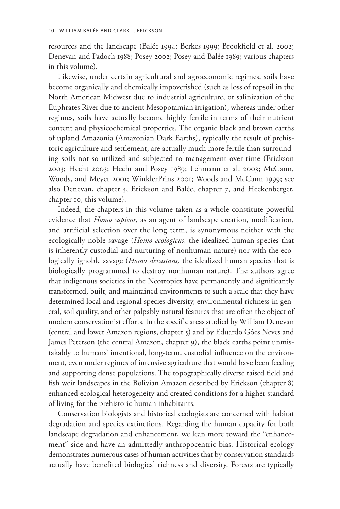resources and the landscape (Balée 1994; Berkes 1999; Brookfield et al. 2002; Denevan and Padoch 1988; Posey 2002; Posey and Balée 1989; various chapters in this volume).

 Likewise, under certain agricultural and agroeconomic regimes, soils have become organically and chemically impoverished (such as loss of topsoil in the North American Midwest due to industrial agriculture, or salinization of the Euphrates River due to ancient Mesopotamian irrigation), whereas under other regimes, soils have actually become highly fertile in terms of their nutrient content and physicochemical properties. The organic black and brown earths of upland Amazonia (Amazonian Dark Earths), typically the result of prehistoric agriculture and settlement, are actually much more fertile than surrounding soils not so utilized and subjected to management over time (Erickson 2003; Hecht 2003; Hecht and Posey 1989; Lehmann et al. 2003; McCann, Woods, and Meyer 2001; WinklerPrins 2001; Woods and McCann 1999; see also Denevan, chapter 5, Erickson and Balée, chapter 7, and Heckenberger, chapter 10, this volume).

 Indeed, the chapters in this volume taken as a whole constitute powerful evidence that *Homo sapiens,* as an agent of landscape creation, modification, and artificial selection over the long term, is synonymous neither with the ecologically noble savage (*Homo ecologicus*, the idealized human species that is inherently custodial and nurturing of nonhuman nature) nor with the ecologically ignoble savage (*Homo devastans*, the idealized human species that is biologically programmed to destroy nonhuman nature). The authors agree that indigenous societies in the Neotropics have permanently and significantly transformed, built, and maintained environments to such a scale that they have determined local and regional species diversity, environmental richness in general, soil quality, and other palpably natural features that are often the object of modern conservationist efforts. In the specific areas studied by William Denevan (central and lower Amazon regions, chapter 5) and by Eduardo Góes Neves and James Peterson (the central Amazon, chapter 9), the black earths point unmistakably to humans' intentional, long-term, custodial influence on the environment, even under regimes of intensive agriculture that would have been feeding and supporting dense populations. The topographically diverse raised field and fish weir landscapes in the Bolivian Amazon described by Erickson (chapter 8) enhanced ecological heterogeneity and created conditions for a higher standard of living for the prehistoric human inhabitants.

 Conservation biologists and historical ecologists are concerned with habitat degradation and species extinctions. Regarding the human capacity for both landscape degradation and enhancement, we lean more toward the "enhancement" side and have an admittedly anthropocentric bias. Historical ecology demonstrates numerous cases of human activities that by conservation standards actually have benefited biological richness and diversity. Forests are typically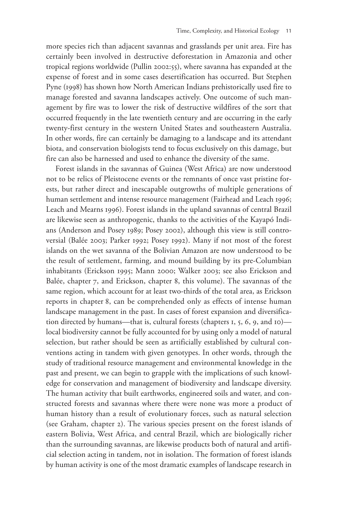more species rich than adjacent savannas and grasslands per unit area. Fire has certainly been involved in destructive deforestation in Amazonia and other tropical regions worldwide (Pullin 2002:55), where savanna has expanded at the expense of forest and in some cases desertification has occurred. But Stephen Pyne (1998) has shown how North American Indians prehistorically used fire to manage forested and savanna landscapes actively. One outcome of such management by fire was to lower the risk of destructive wildfires of the sort that occurred frequently in the late twentieth century and are occurring in the early twenty-first century in the western United States and southeastern Australia. In other words, fire can certainly be damaging to a landscape and its attendant biota, and conservation biologists tend to focus exclusively on this damage, but fire can also be harnessed and used to enhance the diversity of the same.

 Forest islands in the savannas of Guinea (West Africa) are now understood not to be relics of Pleistocene events or the remnants of once vast pristine forests, but rather direct and inescapable outgrowths of multiple generations of human settlement and intense resource management (Fairhead and Leach 1996; Leach and Mearns 1996). Forest islands in the upland savannas of central Brazil are likewise seen as anthropogenic, thanks to the activities of the Kayapó Indians (Anderson and Posey 1989; Posey 2002), although this view is still controversial (Balée 2003; Parker 1992; Posey 1992). Many if not most of the forest islands on the wet savanna of the Bolivian Amazon are now understood to be the result of settlement, farming, and mound building by its pre-Columbian inhabitants (Erickson 1995; Mann 2000; Walker 2003; see also Erickson and Balée, chapter 7, and Erickson, chapter 8, this volume). The savannas of the same region, which account for at least two-thirds of the total area, as Erickson reports in chapter 8, can be comprehended only as effects of intense human landscape management in the past. In cases of forest expansion and diversification directed by humans—that is, cultural forests (chapters 1, 5, 6, 9, and 10) local biodiversity cannot be fully accounted for by using only a model of natural selection, but rather should be seen as artificially established by cultural conventions acting in tandem with given genotypes. In other words, through the study of traditional resource management and environmental knowledge in the past and present, we can begin to grapple with the implications of such knowledge for conservation and management of biodiversity and landscape diversity. The human activity that built earthworks, engineered soils and water, and constructed forests and savannas where there were none was more a product of human history than a result of evolutionary forces, such as natural selection (see Graham, chapter 2). The various species present on the forest islands of eastern Bolivia, West Africa, and central Brazil, which are biologically richer than the surrounding savannas, are likewise products both of natural and artificial selection acting in tandem, not in isolation. The formation of forest islands by human activity is one of the most dramatic examples of landscape research in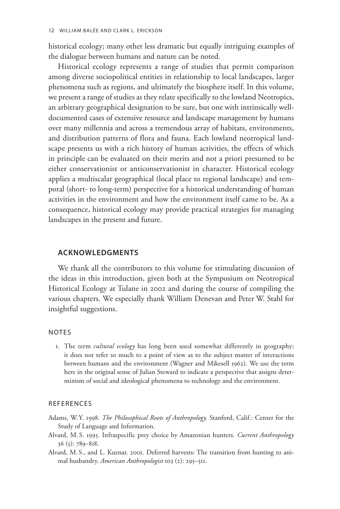historical ecology; many other less dramatic but equally intriguing examples of the dialogue between humans and nature can be noted.

 Historical ecology represents a range of studies that permit comparison among diverse sociopolitical entities in relationship to local landscapes, larger phenomena such as regions, and ultimately the biosphere itself. In this volume, we present a range of studies as they relate specifically to the lowland Neotropics, an arbitrary geographical designation to be sure, but one with intrinsically welldocumented cases of extensive resource and landscape management by humans over many millennia and across a tremendous array of habitats, environments, and distribution patterns of flora and fauna. Each lowland neotropical landscape presents us with a rich history of human activities, the effects of which in principle can be evaluated on their merits and not a priori presumed to be either conservationist or anticonservationist in character. Historical ecology applies a multiscalar geographical (local place to regional landscape) and temporal (short- to long-term) perspective for a historical understanding of human activities in the environment and how the environment itself came to be. As a consequence, historical ecology may provide practical strategies for managing landscapes in the present and future.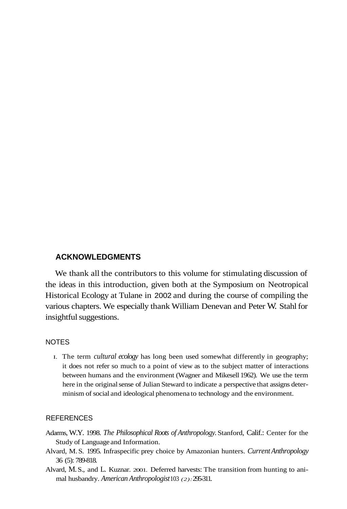## **ACKNOWLEDGMENTS**

We thank all the contributors to this volume for stimulating discussion of the ideas in this introduction, given both at the Symposium on Neotropical Historical Ecology at Tulane in 2002 and during the course of compiling the various chapters. We especially thank William Denevan and Peter W. Stahl for insightful suggestions.

## NOTES

I. The term *cultural ecology* has long been used somewhat differently in geography; it does not refer so much to a point of view as to the subject matter of interactions between humans and the environment (Wagner and Mikesell 1962). We use the term here in the original sense of Julian Steward to indicate a perspective that assigns determinism of social and ideological phenomena to technology and the environment.

#### REFERENCES

- Adarms, W.Y. 1998. *The Philosophical Roots of Anthropology.* Stanford, Calif.: Center for the Study of Language and Information.
- Alvard, M. S. 1995. Infraspecific prey choice by Amazonian hunters. *Current Anthropology*  36 (5): 789-818.
- Alvard, M. S., and L. Kuznar. 2001. Deferred harvests: The transition from hunting to animal husbandry. *American Anthropologist* 103 *(2):* 295-311.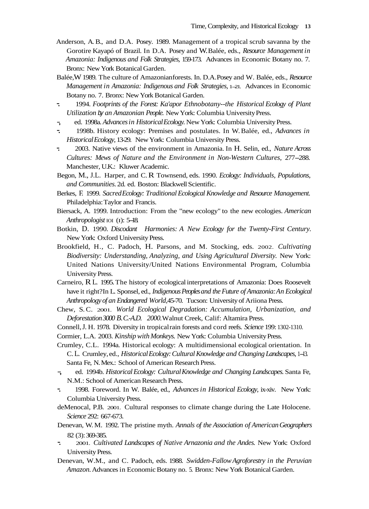- Anderson, A. B., and D.A. Posey. 1989. Management of a tropical scrub savanna by the Gorotire Kayapó of Brazil. In D.A. Posey and W. Balée, eds., *Resource Management in Amazonia: Indigenous and Folk Strategies,* 159-173. Advances in Economic Botany no. 7. Bronx: New York Botanical Garden.
- Balée,W 1989. The culture of Amazonian forests. In. D.A.Posey and W. Balée, eds., *Resource Management in Amazonia: Indigenous and Folk Strategies,* 1-21. Advances in Economic Botany no. 7. Bronx: New York Botanical Garden.
- -. 1994. *Footprints of the Forest: Ka'apor Ethnobotany--the Historical Ecology of Plant Utilization* by *an Amazonian People.* New York: Columbia University Press.
- -, ed. 1998a. *Advances in Historical Ecology.* New York: Columbia University Press.
- -. 1998b. History ecology: Premises and postulates. In W.Balée, ed., *Advances in Historical Ecology,* 13-29. New York: Columbia University Press.
- -. 2003. Native views of the environment in Amazonia. In H. Selin, ed., *Nature Across Cultures: Mews of Nature and the Environment in Non-Western Cultures,* 277-288. Manchester, U.K.: Kluwer Academic.
- Begon, M., J.L. Harper, and C. R Townsend, eds. 1990. *Ecology: Individuals, Populations, and Communities.* 2d. ed. Boston: Blackwell Scientific.
- Berkes, F. 1999. *Sacred Ecology: Traditional Ecological Knowledge and Resource Management.*  Philadelphia: Taylor and Francis.
- Biersack, A. 1999. Introduction: From the "new ecology" to the new ecologies. *American Anthropologist* IOI (I): 5-18.
- Botkin, D. 1990. *Discodant Harmonies: A New Ecology for the Twenty-First Century.*  New York: Oxford University Press.
- Brookfield, H., C. Padoch, H. Parsons, and M. Stocking, eds. 2002. *Cultivating Biodiversity: Understanding, Analyzing, and Using Agricultural Diversity.* New York: United Nations University/United Nations Environmental Program, Columbia University Press.
- Carneiro, R L. 1995. The history of ecological interpretations of Amazonia: Does Roosevelt have it right? In L. Sponsel, ed., *Indigenous Peoples and the Future of Amazonia: An Ecological Anthropology of an Endangered World,* 45-70. Tucson: University of Ariiona Press.
- Chew, S. C. 2001. *World Ecological Degradation: Accumulation, Urbanization, and Deforestation 3000 B. C.-A.D. 2000.*Walnut Creek, Calif: Altamira Press.
- Connell, J. H. 1978. Diversity in tropical rain forests and cord reefs. *Science* 199: 1302-1310.
- Cormier, L.A. 2003. *Kinship with Monkeys.* New York: Columbia University Press.
- Crumley, C.L. 1994a. Historical ecology: A multidimensional ecological orientation. In C. L. Crumley, ed., *Historical Ecology: Cultural Knowledge and Changing Landscapes,* 1-13. Santa Fe, N. Mex.: School of American Research Press.
- -, ed. 1994b. *Historical Ecology: Cultural Knowledge and Changing Landscapes.* Santa Fe, N.M.: School of American Research Press.
- -. 1998. Foreword. In W. Balée, ed., *Advances in Historical Ecology,* ix-xiv. New York: Columbia University Press.
- deMenocal, P.B. 2001. Cultural responses to climate change during the Late Holocene. *Science* 292: 667-673.
- Denevan, W. M. 1992. The pristine myth. *Annals of the Association of American Geographers*  82 (3): 369-385.
- -. 2001. *Cultivated Landscapes of Native Arnazonia and the Andes.* New York: Oxford University Press.
- Denevan, W.M., and C. Padoch, eds. 1988. *Swidden-Fallow Agroforestry in the Peruvian Amazon.* Advances in Economic Botany no. 5. Bronx: New York Botanical Garden.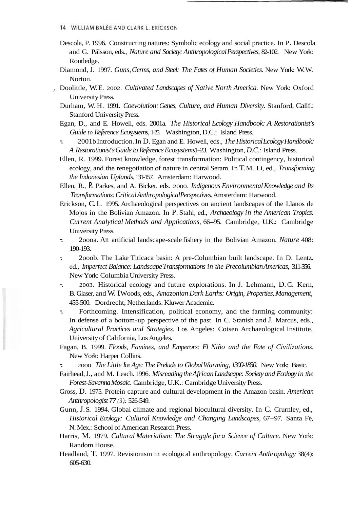- Descola, P. 1996. Constructing natures: Symbolic ecology and social practice. In P. Descola and G. Pálsson, eds., *Nature and Society: Anthropological Perspectives,* 82-102. New York: Routledge.
- Diamond, J. 1997. *Guns, Germs, and Steel: The Fates of Human Societies.* New York: W. W. Norton.
- Doolittle, W. E. 2002. *Cultivated Landscapes of Native North America.* New York: Oxford University Press.
- Durham, W. H. 1991. *Coevolution: Genes, Culture, and Human Diversity.* Stanford, Calif.: Stanford University Press.
- Egan, D., and E. Howell, eds. 2001a. *The Historical Ecology Handbook: A Restorationist's Guide to Reference Ecosystems,* 1-23. Washington, D.C.: Island Press.
- -. 2001b. Introduction. In D. Egan and E. Howell, eds., *The Historical Ecology Handbook: A Restorationist's Guide to Reference Ecosystems,* 1-23. Washington, *D.C.:* Island Press.
- Ellen, R. 1999. Forest knowledge, forest transformation: Political contingency, historical ecology, and the renegotiation of nature in central Seram. In T. M. Li, ed., *Transforming the Indonesian Uplands,* 131-157. Amsterdam: Harwood.
- Ellen, R., **P.** Parkes, and A. Bicker, eds. 2000. *Indigenous Environmental Knowledge and Its Transformations: Critical Anthropological Perspectives.* Amsterdam: Harwood.
- Erickson, C. L. 1995. Archaeological perspectives on ancient landscapes of the Llanos de Mojos in the Bolivian Amazon. In P. Stahl, ed., *Archaeology in the American Tropics: Current Analytical Methods and Applications,* 66-95. Cambridge, U.K.: Cambridge University Press.
- -. 2oooa. An artificial landscape-scale fishery in the Bolivian Amazon. *Nature* 408: 190-193.
- -. 2ooob. The Lake Titicaca basin: A pre-Columbian built landscape. In D. Lentz. ed., *Imperfect Balance: Landscape Transformations in the Precolumbian Americas,* 311-356. New York: Columbia University Press.
- -. 2003. Historical ecology and future explorations. In J. Lehmann, D. C. Kern, B. Glaser, and W. I.Woods, eds., *Amazonian Dark Earths: Origin, Properties, Management,*  455-500. Dordrecht, Netherlands: Kluwer Academic.
- -. Forthcoming. Intensification, political economy, and the farming community: In defense of a bottom-up perspective of the past. In C. Stanish and J. Marcus, eds., *Agricultural Practices and Strategies.* Los Angeles: Cotsen Archaeological Institute, University of California, Los Angeles.
- Fagan, B. 1999. *Floods, Famines, and Emperors: El Niño and the Fate of Civilizations.*  New York: Harper Collins.
- -. 2000. *The Little Ice Age: The Prelude to Global Warming, 1300-1850.* New York: Basic.
- Fairhead, J., and M. Leach. 1996. *Misreading the African Landscape: Society and Ecology in the Forest-Savanna Mosaic.* Cambridge, U.K.: Cambridge University Press.
- Gross, D. 1975. Protein capture and cultural development in the Amazon basin. *American Anthropologist* 77 *(3)* : 526-549.
- Gunn, J.S. 1994. Global climate and regional biocultural diversity. In C. Crurnley, ed., *Historical Ecology: Cultural Knowledge and Changing Landscapes,* 67-97. Santa Fe, N. Mex.: School of American Research Press.
- Harris, M. 1979. *Cultural Materialism: The Strugqle for a Science of Culture.* New York: Random House.
- Headland, T. 1997. Revisionism in ecological anthropology. *Current Anthropology* 38(4): 605-630.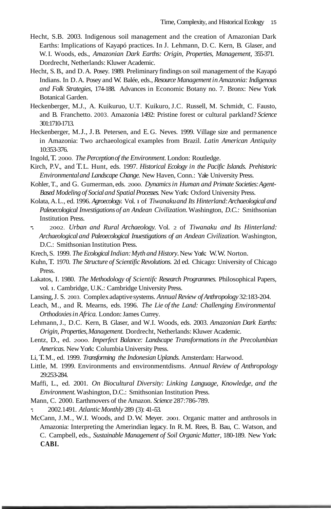- Hecht, S.B. 2003. Indigenous soil management and the creation of Amazonian Dark Earths: Implications of Kayapó practices. In J. Lehmann, D. C. Kern, B. Glaser, and W. I. Woods, eds., *Amazonian Dark Earths: Origin, Properties, Management,* 355-371. Dordrecht, Netherlands: Kluwer Academic.
- Hecht, S. B., and D. A. Posey. 1989. Preliminary findings on soil management of the Kayapó Indians. In D. A. Posey and W. Balée, eds., *Resource Management in Amazonia: Indigenous and Folk Strategies,* 174-188. Advances in Economic Botany no. 7. Bronx: New York Botanical Garden.
- Heckenberger, M.J., A. Kuikuruo, U.T. Kuikuro, J.C. Russell, M. Schmidt, C. Fausto, and B. Franchetto. 2003. Amazonia 1492: Pristine forest or cultural parkland? *Science*  301:1710-1713.
- Heckenberger, M. J., J. B. Petersen, and E. G. Neves. 1999. Village size and permanence in Amazonia: Two archaeological examples from Brazil. *Latin American Antiquity*  10:353-376.
- Ingold, T. 2000. *The Perception of the Environment.* London: Routledge.
- Kirch, P.V., and T. L. Hunt, eds. 1997. *Historical Ecology in the Pacific Islands. Prehistoric Environmental and Landscape Change.* New Haven, Conn.: Yale University Press.
- Kohler, T., and G. Gumerman, eds. 2000. *Dynamics in Human and Primate Societies: Agent-Based Modeling of Social and Spatial Processes.* New York: Oxford University Press.
- Kolata, A. L., ed. 1996. *Agroecology.* Vol. I of *Tiwanaku and Its Hinterland: Archaeological and Paleoecological Investigations of an Andean Civilization.* Washington, *D.C.:* Smithsonian Institution Press.
- -. 2002. *Urban and Rural Archaeology.* Vol. 2 of *Tiwanaku and Its Hinterland: Archaeological and Paleoecological Inuestigations of an Andean Civilization.* Washington, D.C.: Smithsonian Institution Press.
- Krech, S. 1999. *The Ecological Indian: Myth and History*. New York: W. W. Norton.
- Kuhn, T. 1970. *The Structure of Scientific Revolutions.* 2d ed. Chicago: University of Chicago Press.
- Lakatos, I. 1980. *The Methodology of Scientifc Research Programmes.* Philosophical Papers, vol. I. Cambridge, U.K.: Cambridge University Press.
- Lansing, J. S. 2003. Complex adaptive systems. *Annual Review of Anthropology* 32:183-204.
- Leach, M., and R. Mearns, eds. 1996. *The Lie of the Land: Challenging Environmental Orthodoxies in Africa.* London: James Currey.
- Lehmann, J., D.C. Kern, B. Glaser, and W.I. Woods, eds. 2003. *Amazonian Dark Earths: Origin, Properties, Management.* Dordrecht, Netherlands: Kluwer Academic.
- Lentz, D., ed. 2000. *Imperfect Balance: Landscape Transformations in the Precolumbian Americas.* New York: Columbia University Press.
- Li, T. M., ed. 1999. *Transforming the Indonesian Uplands.* Amsterdam: Harwood.
- Little, M. 1999. Environments and environmentdisms. *Annual Review of Anthropology*  29:253-284.
- Maffi, L., ed. 2001. *On Biocultural Diversity: Linking Language, Knowledge, and the Environment.* Washington, D.C.: Smithsonian Institution Press.
- Mann, C. 2000. Earthmovers of the Amazon. *Science* 287:786-789.
- -. 2002.1491. *Atlantic Monthly* 289 (3): 41-53.
- McCann, J.M., W.I. Woods, and D. W. Meyer. 2001. Organic matter and anthrosols in Amazonia: Interpreting the Amerindian legacy. In R. M. Rees, B. Bau, C. Watson, and C. Campbell, eds., *Sustainable Management of Soil Organic Matter,* 180-189. New York: **CABI.**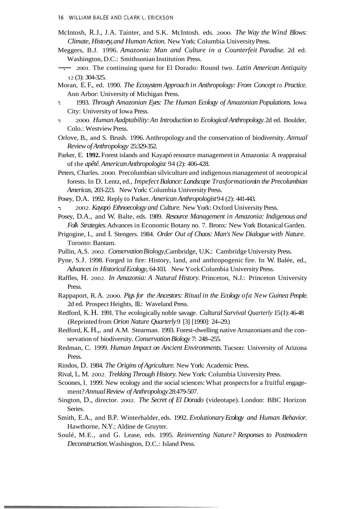- McIntosh, R. J., J.A. Tainter, and S.K. McIntosh. eds. 2000. *The Way the Wind Blows: Climate, Histo ry, and Human Action.* New York: Columbia University Press.
- Meggers, B.J. 1996. *Amazonia: Man and Culture in a Counterfeit Paradise.* 2d ed. Washington, D.C.: Smithsonian Institution Press. McIntosh, R.J., J.A. Tainter, and S.K. McIntosh. eds. 2000. *The Way the Wind Blows:*<br>Climate, History, and Human Action. New York: Columbia University Press.<br>Meggers, B.J. 1996. Amazonia: Man and Culture in a Counterfeit
- 12 (3): 304-325.
- Moran, E. F., ed. 1990. *The Ecosystem Approach in Anthropology: From Concept to Practice.*  Ann Arbor: University of Michigan Press.
- -. 1993. *Through Amazonian Eyes: The Human Ecology of Amazonian Populations.* Iowa City: University of Iowa Press.
- -. 2000. *Human Aadptability: An Introduction to Ecological Anthropology.* 2d ed. Boulder, Colo.: Westview Press.
- Orlove, B., and S. Brush. 1996. Anthropology and the conservation of biodiversity. *Annual Review of Anthropology* 25:329-352.
- Parker, E. **1992.** Forest islands and Kayapó resource management in Amazonia: A reappraisal of the *apêtê. American Anthropologist* 94 (2): 406-428.
- Peters, Charles. 2000. Precolumbian silviculture and indigenous management of neotropical forests. In D. Lentz, ed., *Impefect Balance: Landscape Trasformations in the Precolumbian Americas,* 203-223. New York: Columbia University Press.
- Posey, D.A. 1992. Reply to Parker. *American Anthropologist* 94 (2): 441-443.
- -. 2002. *Kayapó Ethnoecology and Culture.* New York: Oxford University Press.
- Posey, D.A., and W. Balte, eds. 1989. *Resource Management in Amazonia: Indigenous and Folk Strategies.* Advances in Economic Botany no. 7. Bronx: New York Botanical Garden.
- Prigogine, I., and I. Stengers. 1984. *Order Out of Chaos: Man's New Dialogue with Nature.*  Toronto: Bantam.
- Pullin, A. S. 2002. *Conservation Biology,* Cambridge, U.K.: Cambridge University Press.
- Pyne, S.J. 1998. Forged in fire: History, land, and anthropogenic fire. In W. Balée, ed., *Advances in Historical Ecology,* 64-103. New York: Columbia University Press.
- Raffles, H. 2002. *In Amazonia: A Natural History.* Princeton, N.J.: Princeton University Press.
- Rappaport, R. A. 2000. *Pigs for the Ancestors: Ritual in the Ecology ofa New Guinea People.*  2d ed. Prospect Heights, Ill.: Waveland Press.
- Redford, K. H. 1991. The ecologically noble savage. *Cultural Survival Quarterly* I5(I): 46-48 (Reprinted from *Orion Nature Quarterly* 9 [3] [1990]: 24-29.)
- Redford, K. H.,. and A.M. Stearman. 1993. Forest-dwelling native Arnazonians and the conservation of biodiversity. *Conservation Biology* 7: 248-255.
- Redman, C. 1999. *Human Impact on Ancient Environments.* Tucson: University of Arizona Press.
- Rindos, D. 1984. *The Origins of Agriculture.* New York: Academic Press.
- Rival, L. M. 2002. *Trekking Through History.* New York: Columbia University Press.
- Scoones, I. 1999. New ecology and the social sciences: What prospects for a fruitful engagement? *Annual Review of Anthropology* 28:479-507.
- Sington, D., director. 2002. *The Secret of El Dorado* (videotape). London: BBC Horizon Series.
- Smith, E.A., and B.P. Winterhalder, eds. 1992. *Evolutionary Ecology and Human Behavior.*  Hawthorne, N.Y.: Aldine de Gruyter.
- Soulé, M.E., and G. Lease, eds. 1995. *Reinventing Nature? Responses to Postmodern Deconstruction.* Washington, D.C.: Island Press.